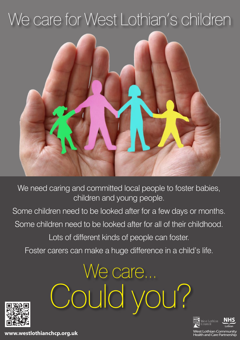## We care for West Lothian's children



We need caring and committed local people to foster babies, children and young people.

Some children need to be looked after for a few days or months.

Some children need to be looked after for all of their childhood.

Lots of different kinds of people can foster.

Foster carers can make a huge difference in a child's life.

We care...

Could you?





: Lothian Community<br>h and Care Partnership

www.westlothianchcp.org.uk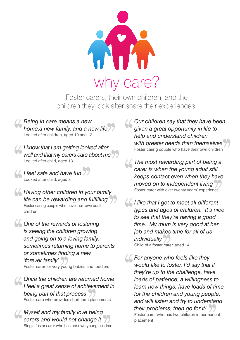

Foster carers, their own children, and the children they look after share their experiences.

*Being in care means a new home,a new family, and a new life* Looked after children, aged 10 and 12

*I know that I am getting looked after well and that my carers care about me* Looked after child, aged 13

*I feel safe and have fun* Looked after child, aged 8

*Having other children in your family life can be rewarding and fulfilling* Foster caring couple who have their own adult children

*One of the rewards of fostering is seeing the children growing and going on to a loving family, sometimes returning home to parents or sometimes finding a new 'forever family'* Foster carer for very young babies and toddlers

*Once the children are returned home I feel a great sense of achievement in being part of that process* Foster care who provides short-term placements

*Myself and my family love being carers and would not change it* Single foster carer who has her own young children *Our children say that they have been given a great opportunity in life to help and understand children with greater needs than themselves*  Foster caring couple who have their own children

*The most rewarding part of being a carer is when the young adult still keeps contact even when they have moved on to independent living* Foster carer with over twenty years' experience

*I like that I get to meet all different types and ages of children. It's nice to see that they're having a good time. My mum is very good at her job and makes time for all of us individually*

Child of a foster carer, aged 14

*For anyone who feels like they would like to foster, I'd say that if they're up to the challenge, have loads of patience, a willingness to learn new things, have loads of time for the children and young people, and will listen and try to understand their problems, then go for it!* Foster carer who has two children in permanent placement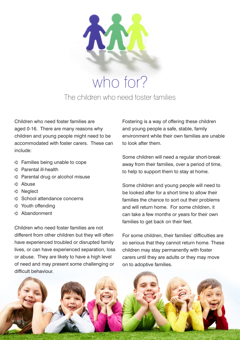

who for? The children who need foster families

Children who need foster families are aged 0-16. There are many reasons why children and young people might need to be accommodated with foster carers. These can include:

- $\blacktriangleright$  Families being unable to cope
- $\triangleright$  Parental ill-health
- $\blacktriangleright$  Parental drug or alcohol misuse
- $\epsilon$  Abuse
- **▶ Neglect**
- $\triangleright$  School attendance concerns
- $\epsilon$  Youth offending
- $\epsilon$  Abandonment

Children who need foster families are not different from other children but they will often have experienced troubled or disrupted family lives, or can have experienced separation, loss or abuse. They are likely to have a high level of need and may present some challenging or difficult behaviour.

Fostering is a way of offering these children and young people a safe, stable, family environment while their own families are unable to look after them.

Some children will need a regular short-break away from their families, over a period of time, to help to support them to stay at home.

Some children and young people will need to be looked after for a short time to allow their families the chance to sort out their problems and will return home. For some children, it can take a few months or years for their own families to get back on their feet.

For some children, their families' difficulties are so serious that they cannot return home. These children may stay permanently with foster carers until they are adults or they may move on to adoptive families.

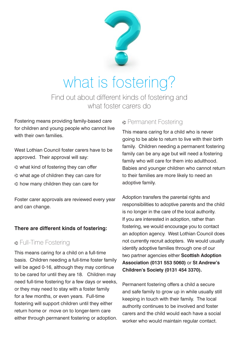

### what is fostering?

Find out about different kinds of fostering and what foster carers do

Fostering means providing family-based care for children and young people who cannot live with their own families

West Lothian Council foster carers have to be approved. Their approval will say:

- $\triangleright$  what kind of fostering they can offer
- $\triangleright$  what age of children they can care for
- $\triangleright$  how many children they can care for

Foster carer approvals are reviewed every year and can change.

#### **There are different kinds of fostering:**

#### p Full-Time Fostering

This means caring for a child on a full-time basis. Children needing a full-time foster family will be aged 0-16, although they may continue to be cared for until they are 18. Children may need full-time fostering for a few days or weeks, or they may need to stay with a foster family for a few months, or even years. Full-time fostering will support children until they either return home or move on to longer-term care either through permanent fostering or adoption.

#### **Permanent Fostering**

This means caring for a child who is never going to be able to return to live with their birth family. Children needing a permanent fostering family can be any age but will need a fostering family who will care for them into adulthood. Babies and younger children who cannot return to their families are more likely to need an adoptive family.

Adoption transfers the parental rights and responsibilities to adoptive parents and the child is no longer in the care of the local authority. If you are interested in adoption, rather than fostering, we would encourage you to contact an adoption agency. West Lothian Council does not currently recruit adopters. We would usually identify adoptive families through one of our two partner agencies either **Scottish Adoption Association (0131 553 5060)** or **St Andrew's Children's Society (0131 454 3370).**

Permanent fostering offers a child a secure and safe family to grow up in while usually still keeping in touch with their family. The local authority continues to be involved and foster carers and the child would each have a social worker who would maintain regular contact.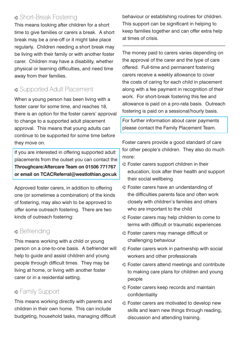#### **> Short-Break Fostering**

This means looking after children for a short time to give families or carers a break. A short break may be a one-off or it might take place regularly. Children needing a short break may be living with their family or with another foster carer. Children may have a disability, whether physical or learning difficulties, and need time away from their families.

#### p Supported Adult Placement

When a young person has been living with a foster carer for some time, and reaches 18, there is an option for the foster carers' approval to change to a supported adult placement approval. This means that young adults can continue to be supported for some time before they move on.

If you are interested in offering supported adult placements from the outset you can contact the **Throughcare/Aftercare Team on 01506 771767 or email on TCACReferral@westlothian.gov.uk**

Approved foster carers, in addition to offering one (or sometimes a combination) of the kinds of fostering, may also wish to be approved to offer some outreach fostering. There are two kinds of outreach fostering:

#### **>** Befriending

This means working with a child or young person on a one-to-one basis. A befriender will help to guide and assist children and young people through difficult times. They may be living at home, or living with another foster carer or in a residential setting.

#### **> Family Support**

This means working directly with parents and children in their own home. This can include budgeting, household tasks, managing difficult behaviour or establishing routines for children. This support can be significant in helping to keep families together and can offer extra help at times of crisis.

The money paid to carers varies depending on the approval of the carer and the type of care offered. Full-time and permanent fostering carers receive a weekly allowance to cover the costs of caring for each child in placement along with a fee payment in recognition of their work. For short-break fostering this fee and allowance is paid on a pro-rata basis. Outreach fostering is paid on a sessional/hourly basis.

For further information about carer payments please contact the Family Placement Team.

Foster carers provide a good standard of care for other people's children. They also do much more:

- $\triangleright$  Foster carers support children in their education, look after their health and support their social wellbeing
- $\triangleright$  Foster carers have an understanding of the difficulties parents face and often work closely with children's families and others who are important to the child
- $\triangleright$  Foster carers may help children to come to terms with difficult or traumatic experiences
- **P** Foster carers may manage difficult or challenging behaviour
- $\triangleright$  Foster carers work in partnership with social workers and other professionals
- $\triangleright$  Foster carers attend meetings and contribute to making care plans for children and young people
- **•** Foster carers keep records and maintain confidentiality
- $\triangleright$  Foster carers are motivated to develop new skills and learn new things through reading, discussion and attending training.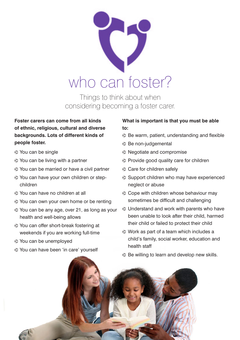

Things to think about when considering becoming a foster carer.

#### **Foster carers can come from all kinds of ethnic, religious, cultural and diverse backgrounds. Lots of different kinds of people foster.**

- $\triangleright$  You can be single
- $\triangleright$  You can be living with a partner
- p You can be married or have a civil partner
- p You can have your own children or stepchildren
- p You can have no children at all
- $\triangleright$  You can own your own home or be renting
- p You can be any age, over 21, as long as your health and well-being allows
- p You can offer short-break fostering at weekends if you are working full-time
- p You can be unemployed
- p You can have been 'in care' yourself

#### **What is important is that you must be able to:**

- $\triangleright$  Be warm, patient, understanding and flexible
- $\triangleright$  Be non-judgemental
- $\blacktriangleright$  Negotiate and compromise
- $\triangleright$  Provide good quality care for children
- $\triangleright$  Care for children safely
- $\triangleright$  Support children who may have experienced neglect or abuse
- $\triangleright$  Cope with children whose behaviour may sometimes be difficult and challenging
- $\triangleright$  Understand and work with parents who have been unable to look after their child, harmed their child or failed to protect their child
- $\triangleright$  Work as part of a team which includes a child's family, social worker, education and health staff
- $\triangleright$  Be willing to learn and develop new skills.

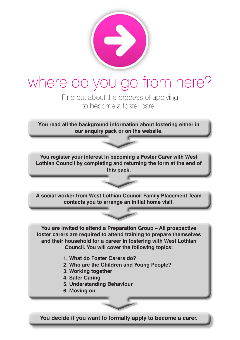

### where do you go from here?

Find out about the process of applying to become a foster carer.

**You read all the background information about fostering either in our enquiry pack or on the website.**

**You register your interest in becoming a Foster Carer with West Lothian Council by completing and returning the form at the end of this pack.**

**A social worker from West Lothian Council Family Placement Team contacts you to arrange an initial home visit.**

**You are invited to attend a Preparation Group – All prospective foster carers are required to attend training to prepare themselves and their household for a career in fostering with West Lothian Council. You will cover the following topics:**

- **1. What do Foster Carers do?**
- **2. Who are the Children and Young People?**
- **3. Working together**
- **4. Safer Caring**
- **5. Understanding Behaviour**
- **6. Moving on**

**You decide if you want to formally apply to become a carer.**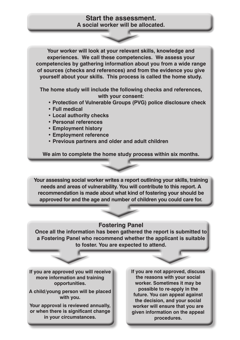#### **Start the assessment. A social worker will be allocated.**

**Your worker will look at your relevant skills, knowledge and experiences. We call these competencies. We assess your competencies by gathering information about you from a wide range of sources (checks and references) and from the evidence you give yourself about your skills. This process is called the home study.** 

**The home study will include the following checks and references, with your consent:** 

- **Protection of Vulnerable Groups (PVG) police disclosure check**
- **Full medical**
- **Local authority checks**
- **Personal references**
- **Employment history**
- **Employment reference**
- **Previous partners and older and adult children**

**We aim to complete the home study process within six months.**

**Your assessing social worker writes a report outlining your skills, training needs and areas of vulnerability. You will contribute to this report. A recommendation is made about what kind of fostering your should be approved for and the age and number of children you could care for.**

#### **Fostering Panel**

**Once all the information has been gathered the report is submitted to a Fostering Panel who recommend whether the applicant is suitable to foster. You are expected to attend.**

**If you are approved you will receive more information and training opportunities.**

**A child/young person will be placed with you.**

**Your approval is reviewed annually, or when there is significant change in your circumstances.**

**If you are not approved, discuss the reasons with your social worker. Sometimes it may be possible to re-apply in the future. You can appeal against the decision, and your social worker will ensure that you are given information on the appeal procedures.**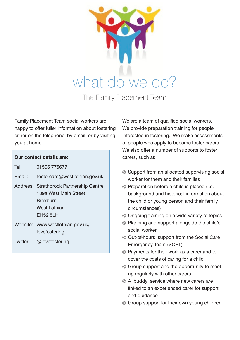

Family Placement Team social workers are happy to offer fuller information about fostering either on the telephone, by email, or by visiting you at home.

| Our contact details are: |                                                                                                                 |  |  |
|--------------------------|-----------------------------------------------------------------------------------------------------------------|--|--|
| Tel:                     | 01506 775677                                                                                                    |  |  |
| Email:                   | fostercare@westlothian.gov.uk                                                                                   |  |  |
|                          | Address: Strathbrock Partnership Centre<br>189a West Main Street<br><b>Broxburn</b><br>West Lothian<br>EH52 5LH |  |  |
|                          | Website: www.westlothian.gov.uk/<br>lovefostering                                                               |  |  |
| Twitter:                 | @lovefostering.                                                                                                 |  |  |

We are a team of qualified social workers. We provide preparation training for people interested in fostering. We make assessments of people who apply to become foster carers. We also offer a number of supports to foster carers, such as:

- $\triangleright$  Support from an allocated supervising social worker for them and their families
- $\triangleright$  Preparation before a child is placed (i.e. background and historical information about the child or young person and their family circumstances)
- $\triangleright$  Ongoing training on a wide variety of topics
- $\triangleright$  Planning and support alongside the child's social worker
- $\triangleright$  Out-of-hours support from the Social Care Emergency Team (SCET)
- $\triangleright$  Payments for their work as a carer and to cover the costs of caring for a child
- $\triangleright$  Group support and the opportunity to meet up regularly with other carers
- $\triangleright$  A 'buddy' service where new carers are linked to an experienced carer for support and guidance
- $\triangleright$  Group support for their own young children.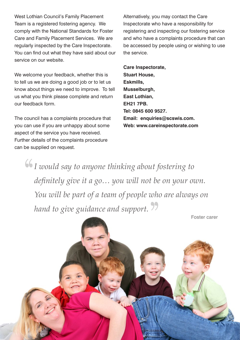West Lothian Council's Family Placement Team is a registered fostering agency. We comply with the National Standards for Foster Care and Family Placement Services. We are regularly inspected by the Care Inspectorate. You can find out what they have said about our service on our website.

We welcome your feedback, whether this is to tell us we are doing a good job or to let us know about things we need to improve. To tell us what you think please complete and return our feedback form.

The council has a complaints procedure that you can use if you are unhappy about some aspect of the service you have received. Further details of the complaints procedure can be supplied on request.

Alternatively, you may contact the Care Inspectorate who have a responsibility for registering and inspecting our fostering service and who have a complaints procedure that can be accessed by people using or wishing to use the service.

**Care Inspectorate, Stuart House, Eskmills, Musselburgh, East Lothian, EH21 7PB. Tel: 0845 600 9527. Email: enquiries@scswis.com. Web: www.careinspectorate.com**

*I would say to anyone thinking about fostering to definitely give it a go… you will not be on your own. You will be part of a team of people who are always on hand to give guidance and support.*

Foster carer

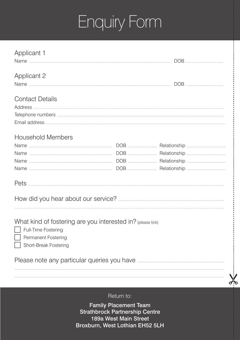## Enquiry Form

| <b>Applicant 1</b>                                                                                                                                                   |  |  |  |  |
|----------------------------------------------------------------------------------------------------------------------------------------------------------------------|--|--|--|--|
| <b>Applicant 2</b>                                                                                                                                                   |  |  |  |  |
| <b>Contact Details</b>                                                                                                                                               |  |  |  |  |
| <b>Household Members</b>                                                                                                                                             |  |  |  |  |
| What kind of fostering are you interested in? (please tick)<br>Full-Time Fostering Full-Time Fostering<br><b>Permanent Fostering</b><br><b>Short-Break Fostering</b> |  |  |  |  |
|                                                                                                                                                                      |  |  |  |  |

Return to:

 $\lambda$ 

**Family Placement Team Strathbrock Partnership Centre** 189a West Main Street Broxburn, West Lothian EH52 5LH